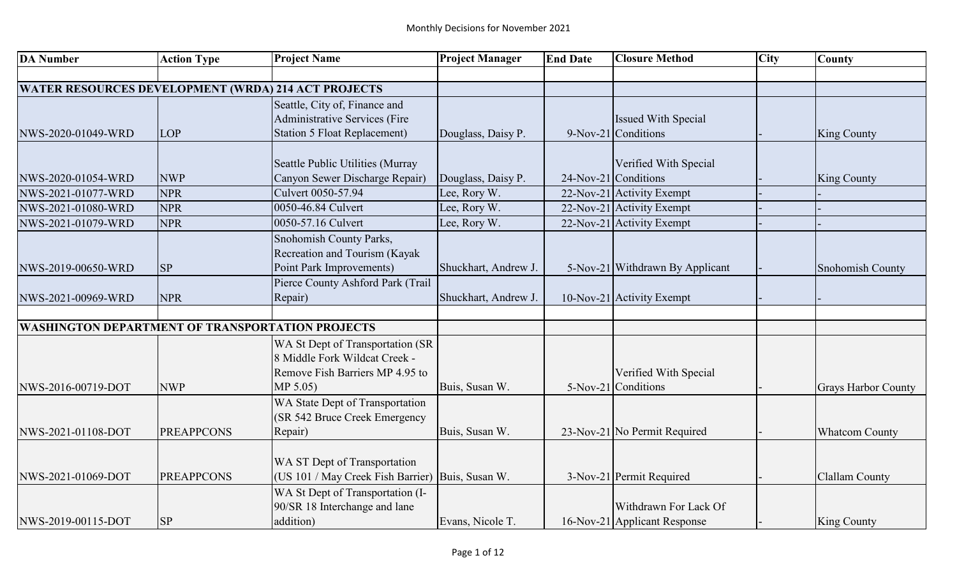| <b>DA Number</b>                                           | <b>Action Type</b> | <b>Project Name</b>                                                                                              | <b>Project Manager</b> | <b>End Date</b> | <b>Closure Method</b>                         | <b>City</b> | <b>County</b>              |
|------------------------------------------------------------|--------------------|------------------------------------------------------------------------------------------------------------------|------------------------|-----------------|-----------------------------------------------|-------------|----------------------------|
|                                                            |                    |                                                                                                                  |                        |                 |                                               |             |                            |
| <b>WATER RESOURCES DEVELOPMENT (WRDA) 214 ACT PROJECTS</b> |                    |                                                                                                                  |                        |                 |                                               |             |                            |
|                                                            |                    | Seattle, City of, Finance and                                                                                    |                        |                 |                                               |             |                            |
|                                                            |                    | Administrative Services (Fire                                                                                    |                        |                 | <b>Issued With Special</b>                    |             |                            |
| NWS-2020-01049-WRD                                         | LOP                | <b>Station 5 Float Replacement)</b>                                                                              | Douglass, Daisy P.     |                 | 9-Nov-21 Conditions                           |             | <b>King County</b>         |
|                                                            |                    |                                                                                                                  |                        |                 |                                               |             |                            |
|                                                            |                    | Seattle Public Utilities (Murray<br>Canyon Sewer Discharge Repair)                                               |                        |                 | Verified With Special<br>24-Nov-21 Conditions |             |                            |
| NWS-2020-01054-WRD                                         | <b>NWP</b>         | Culvert 0050-57.94                                                                                               | Douglass, Daisy P.     |                 |                                               |             | <b>King County</b>         |
| NWS-2021-01077-WRD                                         | <b>NPR</b>         |                                                                                                                  | Lee, Rory W.           |                 | 22-Nov-21 Activity Exempt                     |             |                            |
| NWS-2021-01080-WRD                                         | <b>NPR</b>         | 0050-46.84 Culvert                                                                                               | Lee, Rory W.           |                 | 22-Nov-21 Activity Exempt                     |             |                            |
| NWS-2021-01079-WRD                                         | <b>NPR</b>         | 0050-57.16 Culvert                                                                                               | Lee, Rory W.           |                 | 22-Nov-21 Activity Exempt                     |             |                            |
|                                                            |                    | Snohomish County Parks,<br>Recreation and Tourism (Kayak<br>Point Park Improvements)                             | Shuckhart, Andrew J.   |                 | 5-Nov-21 Withdrawn By Applicant               |             |                            |
| NWS-2019-00650-WRD                                         | <b>SP</b>          |                                                                                                                  |                        |                 |                                               |             | Snohomish County           |
| NWS-2021-00969-WRD                                         | <b>NPR</b>         | Pierce County Ashford Park (Trail<br>Repair)                                                                     | Shuckhart, Andrew J.   |                 | 10-Nov-21 Activity Exempt                     |             |                            |
|                                                            |                    |                                                                                                                  |                        |                 |                                               |             |                            |
| <b>WASHINGTON DEPARTMENT OF TRANSPORTATION PROJECTS</b>    |                    |                                                                                                                  |                        |                 |                                               |             |                            |
| NWS-2016-00719-DOT                                         | <b>NWP</b>         | WA St Dept of Transportation (SR<br>8 Middle Fork Wildcat Creek -<br>Remove Fish Barriers MP 4.95 to<br>MP 5.05) | Buis, Susan W.         |                 | Verified With Special<br>5-Nov-21 Conditions  |             | <b>Grays Harbor County</b> |
| NWS-2021-01108-DOT                                         | <b>PREAPPCONS</b>  | WA State Dept of Transportation<br>(SR 542 Bruce Creek Emergency<br>Repair)                                      | Buis, Susan W.         |                 | 23-Nov-21 No Permit Required                  |             | <b>Whatcom County</b>      |
|                                                            |                    |                                                                                                                  |                        |                 |                                               |             |                            |
| NWS-2021-01069-DOT                                         | <b>PREAPPCONS</b>  | WA ST Dept of Transportation<br>(US 101 / May Creek Fish Barrier) Buis, Susan W.                                 |                        |                 | 3-Nov-21 Permit Required                      |             | Clallam County             |
|                                                            |                    | WA St Dept of Transportation (I-<br>90/SR 18 Interchange and lane                                                |                        |                 | Withdrawn For Lack Of                         |             |                            |
| NWS-2019-00115-DOT                                         | <b>SP</b>          | addition)                                                                                                        | Evans, Nicole T.       |                 | 16-Nov-21 Applicant Response                  |             | <b>King County</b>         |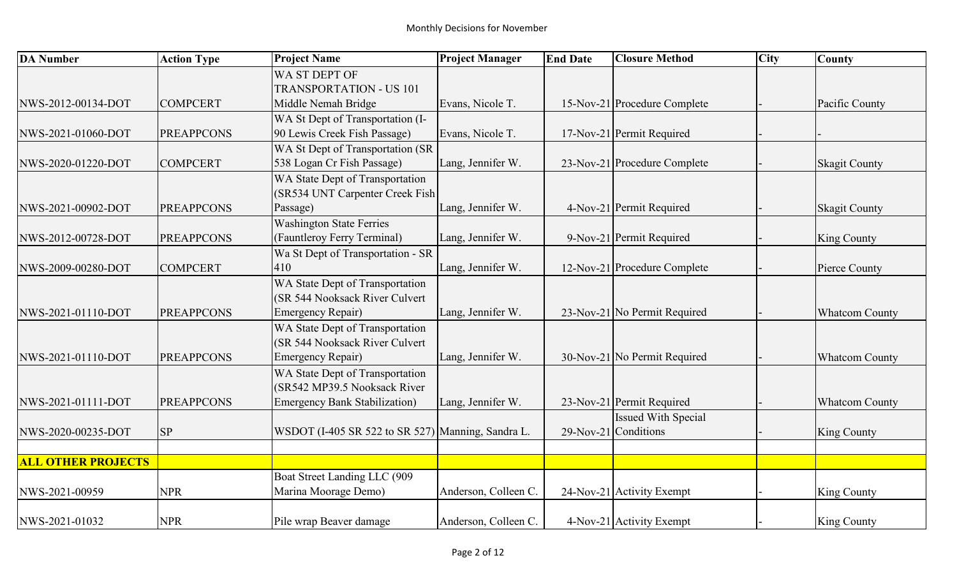| <b>DA Number</b>          | <b>Action Type</b> | <b>Project Name</b>                               | <b>Project Manager</b> | <b>End Date</b> | <b>Closure Method</b>        | <b>City</b> | <b>County</b>         |
|---------------------------|--------------------|---------------------------------------------------|------------------------|-----------------|------------------------------|-------------|-----------------------|
|                           |                    | WA ST DEPT OF                                     |                        |                 |                              |             |                       |
|                           |                    | <b>TRANSPORTATION - US 101</b>                    |                        |                 |                              |             |                       |
| NWS-2012-00134-DOT        | <b>COMPCERT</b>    | Middle Nemah Bridge                               | Evans, Nicole T.       |                 | 15-Nov-21 Procedure Complete |             | Pacific County        |
|                           |                    | WA St Dept of Transportation (I-                  |                        |                 |                              |             |                       |
| NWS-2021-01060-DOT        | <b>PREAPPCONS</b>  | 90 Lewis Creek Fish Passage)                      | Evans, Nicole T.       |                 | 17-Nov-21 Permit Required    |             |                       |
|                           |                    | WA St Dept of Transportation (SR                  |                        |                 |                              |             |                       |
| NWS-2020-01220-DOT        | <b>COMPCERT</b>    | 538 Logan Cr Fish Passage)                        | Lang, Jennifer W.      |                 | 23-Nov-21 Procedure Complete |             | <b>Skagit County</b>  |
|                           |                    | WA State Dept of Transportation                   |                        |                 |                              |             |                       |
|                           |                    | (SR534 UNT Carpenter Creek Fish                   |                        |                 |                              |             |                       |
| NWS-2021-00902-DOT        | <b>PREAPPCONS</b>  | Passage)                                          | Lang, Jennifer W.      |                 | 4-Nov-21 Permit Required     |             | <b>Skagit County</b>  |
|                           |                    | <b>Washington State Ferries</b>                   |                        |                 |                              |             |                       |
| NWS-2012-00728-DOT        | <b>PREAPPCONS</b>  | (Fauntleroy Ferry Terminal)                       | Lang, Jennifer W.      |                 | 9-Nov-21 Permit Required     |             | <b>King County</b>    |
|                           |                    | Wa St Dept of Transportation - SR                 |                        |                 |                              |             |                       |
| NWS-2009-00280-DOT        | <b>COMPCERT</b>    | 410                                               | Lang, Jennifer W.      |                 | 12-Nov-21 Procedure Complete |             | Pierce County         |
|                           |                    | WA State Dept of Transportation                   |                        |                 |                              |             |                       |
|                           |                    | (SR 544 Nooksack River Culvert                    |                        |                 |                              |             |                       |
| NWS-2021-01110-DOT        | <b>PREAPPCONS</b>  | <b>Emergency Repair)</b>                          | Lang, Jennifer W.      |                 | 23-Nov-21 No Permit Required |             | <b>Whatcom County</b> |
|                           |                    | WA State Dept of Transportation                   |                        |                 |                              |             |                       |
|                           |                    | (SR 544 Nooksack River Culvert                    |                        |                 |                              |             |                       |
| NWS-2021-01110-DOT        | <b>PREAPPCONS</b>  | <b>Emergency Repair)</b>                          | Lang, Jennifer W.      |                 | 30-Nov-21 No Permit Required |             | <b>Whatcom County</b> |
|                           |                    | WA State Dept of Transportation                   |                        |                 |                              |             |                       |
|                           |                    | (SR542 MP39.5 Nooksack River                      |                        |                 |                              |             |                       |
| NWS-2021-01111-DOT        | <b>PREAPPCONS</b>  | <b>Emergency Bank Stabilization</b> )             | Lang, Jennifer W.      |                 | 23-Nov-21 Permit Required    |             | <b>Whatcom County</b> |
|                           |                    |                                                   |                        |                 | <b>Issued With Special</b>   |             |                       |
| NWS-2020-00235-DOT        | <b>SP</b>          | WSDOT (I-405 SR 522 to SR 527) Manning, Sandra L. |                        |                 | $29$ -Nov-21 Conditions      |             | <b>King County</b>    |
|                           |                    |                                                   |                        |                 |                              |             |                       |
| <b>ALL OTHER PROJECTS</b> |                    |                                                   |                        |                 |                              |             |                       |
|                           |                    | Boat Street Landing LLC (909                      |                        |                 |                              |             |                       |
| NWS-2021-00959            | <b>NPR</b>         | Marina Moorage Demo)                              | Anderson, Colleen C.   |                 | 24-Nov-21 Activity Exempt    |             | <b>King County</b>    |
| NWS-2021-01032            | <b>NPR</b>         | Pile wrap Beaver damage                           | Anderson, Colleen C.   |                 | 4-Nov-21 Activity Exempt     |             | <b>King County</b>    |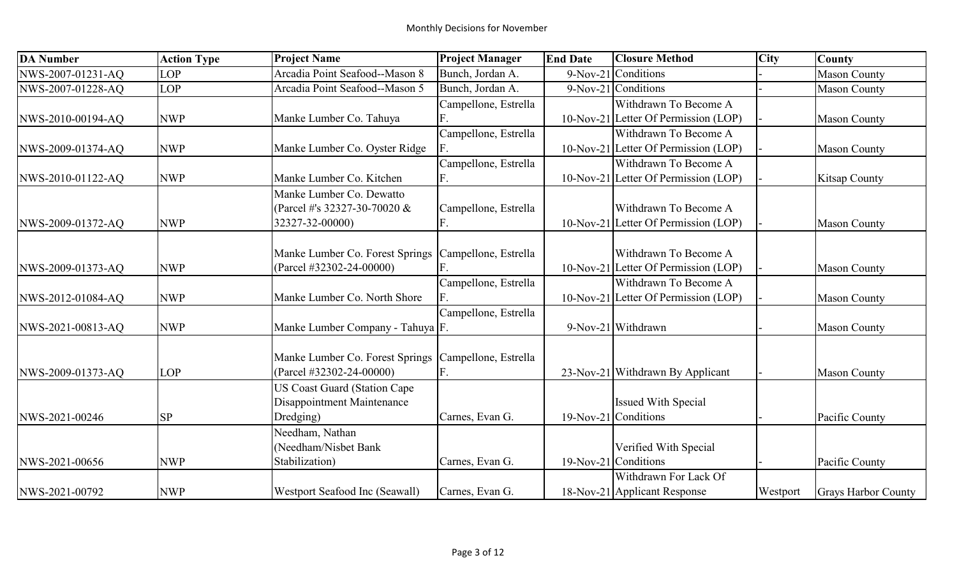| <b>DA Number</b>  | <b>Action Type</b> | <b>Project Name</b>                  | <b>Project Manager</b> | <b>End Date</b> | <b>Closure Method</b>                | <b>City</b> | <b>County</b>        |
|-------------------|--------------------|--------------------------------------|------------------------|-----------------|--------------------------------------|-------------|----------------------|
| NWS-2007-01231-AQ | <b>LOP</b>         | Arcadia Point Seafood--Mason 8       | Bunch, Jordan A.       |                 | 9-Nov-21 Conditions                  |             | <b>Mason County</b>  |
| NWS-2007-01228-AQ | <b>LOP</b>         | Arcadia Point Seafood--Mason 5       | Bunch, Jordan A.       |                 | 9-Nov-21 Conditions                  |             | <b>Mason County</b>  |
|                   |                    |                                      | Campellone, Estrella   |                 | Withdrawn To Become A                |             |                      |
| NWS-2010-00194-AQ | <b>NWP</b>         | Manke Lumber Co. Tahuya              |                        |                 | 10-Nov-21 Letter Of Permission (LOP) |             | <b>Mason County</b>  |
|                   |                    |                                      | Campellone, Estrella   |                 | Withdrawn To Become A                |             |                      |
| NWS-2009-01374-AQ | <b>NWP</b>         | Manke Lumber Co. Oyster Ridge        | F.                     |                 | 10-Nov-21 Letter Of Permission (LOP) |             | <b>Mason County</b>  |
|                   |                    |                                      | Campellone, Estrella   |                 | Withdrawn To Become A                |             |                      |
| NWS-2010-01122-AQ | <b>NWP</b>         | Manke Lumber Co. Kitchen             | F.                     |                 | 10-Nov-21 Letter Of Permission (LOP) |             | <b>Kitsap County</b> |
|                   |                    | Manke Lumber Co. Dewatto             |                        |                 |                                      |             |                      |
|                   |                    | (Parcel #'s 32327-30-70020 &         | Campellone, Estrella   |                 | Withdrawn To Become A                |             |                      |
| NWS-2009-01372-AQ | <b>NWP</b>         | 32327-32-00000)                      | F.                     |                 | 10-Nov-21 Letter Of Permission (LOP) |             | <b>Mason County</b>  |
|                   |                    |                                      |                        |                 |                                      |             |                      |
|                   |                    | Manke Lumber Co. Forest Springs      | Campellone, Estrella   |                 | Withdrawn To Become A                |             |                      |
| NWS-2009-01373-AQ | <b>NWP</b>         | (Parcel #32302-24-00000)             |                        |                 | 10-Nov-21 Letter Of Permission (LOP) |             | <b>Mason County</b>  |
|                   |                    |                                      | Campellone, Estrella   |                 | Withdrawn To Become A                |             |                      |
| NWS-2012-01084-AQ | <b>NWP</b>         | Manke Lumber Co. North Shore         |                        |                 | 10-Nov-21 Letter Of Permission (LOP) |             | <b>Mason County</b>  |
|                   |                    |                                      | Campellone, Estrella   |                 |                                      |             |                      |
| NWS-2021-00813-AQ | <b>NWP</b>         | Manke Lumber Company - Tahuya F.     |                        |                 | 9-Nov-21 Withdrawn                   |             | <b>Mason County</b>  |
|                   |                    |                                      |                        |                 |                                      |             |                      |
|                   |                    | Manke Lumber Co. Forest Springs      | Campellone, Estrella   |                 |                                      |             |                      |
| NWS-2009-01373-AQ | <b>LOP</b>         | (Parcel #32302-24-00000)             | F.                     |                 | 23-Nov-21 Withdrawn By Applicant     |             | <b>Mason County</b>  |
|                   |                    | <b>US Coast Guard (Station Cape)</b> |                        |                 |                                      |             |                      |
|                   |                    | Disappointment Maintenance           |                        |                 | <b>Issued With Special</b>           |             |                      |
| NWS-2021-00246    | <b>SP</b>          | Dredging)                            | Carnes, Evan G.        |                 | $19-Nov-21$ Conditions               |             | Pacific County       |
|                   |                    | Needham, Nathan                      |                        |                 |                                      |             |                      |
|                   |                    | (Needham/Nisbet Bank                 |                        |                 | Verified With Special                |             |                      |
| NWS-2021-00656    | <b>NWP</b>         | Stabilization)                       | Carnes, Evan G.        |                 | 19-Nov-21 Conditions                 |             | Pacific County       |
|                   |                    |                                      |                        |                 | Withdrawn For Lack Of                |             |                      |
| NWS-2021-00792    | <b>NWP</b>         | Westport Seafood Inc (Seawall)       | Carnes, Evan G.        |                 | 18-Nov-21 Applicant Response         | Westport    | Grays Harbor County  |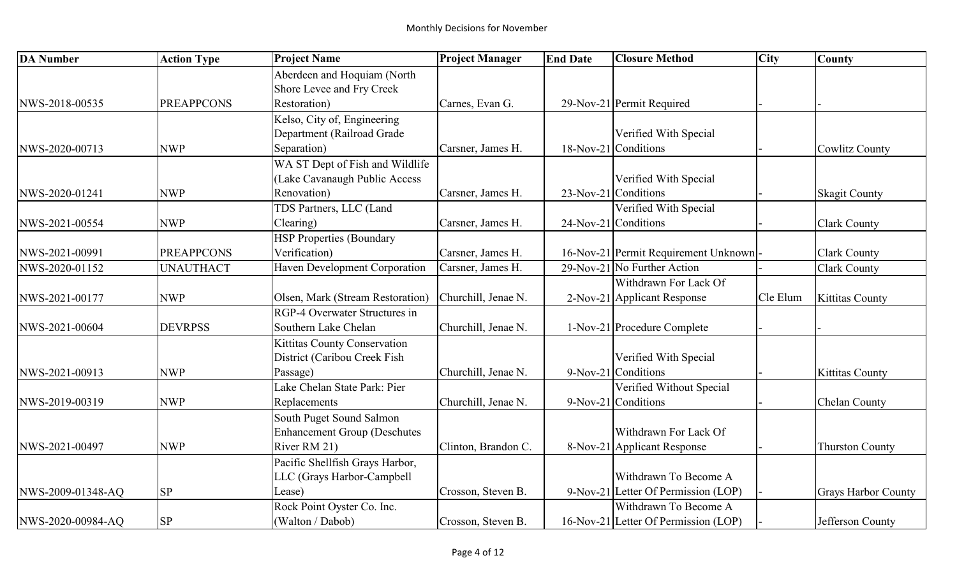| <b>DA Number</b>  | <b>Action Type</b> | <b>Project Name</b>                  | <b>Project Manager</b> | <b>End Date</b> | <b>Closure Method</b>                | City     | <b>County</b>              |
|-------------------|--------------------|--------------------------------------|------------------------|-----------------|--------------------------------------|----------|----------------------------|
|                   |                    | Aberdeen and Hoquiam (North          |                        |                 |                                      |          |                            |
|                   |                    | Shore Levee and Fry Creek            |                        |                 |                                      |          |                            |
| NWS-2018-00535    | <b>PREAPPCONS</b>  | Restoration)                         | Carnes, Evan G.        |                 | 29-Nov-21 Permit Required            |          |                            |
|                   |                    | Kelso, City of, Engineering          |                        |                 |                                      |          |                            |
|                   |                    | Department (Railroad Grade           |                        |                 | Verified With Special                |          |                            |
| NWS-2020-00713    | <b>NWP</b>         | Separation)                          | Carsner, James H.      |                 | 18-Nov-21 Conditions                 |          | Cowlitz County             |
|                   |                    | WA ST Dept of Fish and Wildlife      |                        |                 |                                      |          |                            |
|                   |                    | (Lake Cavanaugh Public Access        |                        |                 | Verified With Special                |          |                            |
| NWS-2020-01241    | <b>NWP</b>         | Renovation)                          | Carsner, James H.      |                 | 23-Nov-21 Conditions                 |          | <b>Skagit County</b>       |
|                   |                    | TDS Partners, LLC (Land              |                        |                 | Verified With Special                |          |                            |
| NWS-2021-00554    | <b>NWP</b>         | Clearing)                            | Carsner, James H.      |                 | $24$ -Nov-21 Conditions              |          | <b>Clark County</b>        |
|                   |                    | <b>HSP Properties (Boundary</b>      |                        |                 |                                      |          |                            |
| NWS-2021-00991    | <b>PREAPPCONS</b>  | Verification)                        | Carsner, James H.      |                 | 16-Nov-21 Permit Requirement Unknown |          | <b>Clark County</b>        |
| NWS-2020-01152    | <b>UNAUTHACT</b>   | <b>Haven Development Corporation</b> | Carsner, James H.      |                 | 29-Nov-21 No Further Action          |          | Clark County               |
|                   |                    |                                      |                        |                 | Withdrawn For Lack Of                |          |                            |
| NWS-2021-00177    | <b>NWP</b>         | Olsen, Mark (Stream Restoration)     | Churchill, Jenae N.    |                 | 2-Nov-21 Applicant Response          | Cle Elum | <b>Kittitas County</b>     |
|                   |                    | RGP-4 Overwater Structures in        |                        |                 |                                      |          |                            |
| NWS-2021-00604    | <b>DEVRPSS</b>     | Southern Lake Chelan                 | Churchill, Jenae N.    |                 | 1-Nov-21 Procedure Complete          |          |                            |
|                   |                    | Kittitas County Conservation         |                        |                 |                                      |          |                            |
|                   |                    | District (Caribou Creek Fish         |                        |                 | Verified With Special                |          |                            |
| NWS-2021-00913    | <b>NWP</b>         | Passage)                             | Churchill, Jenae N.    |                 | 9-Nov-21 Conditions                  |          | <b>Kittitas County</b>     |
|                   |                    | Lake Chelan State Park: Pier         |                        |                 | Verified Without Special             |          |                            |
| NWS-2019-00319    | <b>NWP</b>         | Replacements                         | Churchill, Jenae N.    |                 | 9-Nov-21 Conditions                  |          | Chelan County              |
|                   |                    | South Puget Sound Salmon             |                        |                 |                                      |          |                            |
|                   |                    | <b>Enhancement Group (Deschutes</b>  |                        |                 | Withdrawn For Lack Of                |          |                            |
| NWS-2021-00497    | <b>NWP</b>         | River RM 21)                         | Clinton, Brandon C.    |                 | 8-Nov-21 Applicant Response          |          | <b>Thurston County</b>     |
|                   |                    | Pacific Shellfish Grays Harbor,      |                        |                 |                                      |          |                            |
|                   |                    | LLC (Grays Harbor-Campbell           |                        |                 | Withdrawn To Become A                |          |                            |
| NWS-2009-01348-AQ | <b>SP</b>          | Lease)                               | Crosson, Steven B.     |                 | 9-Nov-21 Letter Of Permission (LOP)  |          | <b>Grays Harbor County</b> |
|                   |                    | Rock Point Oyster Co. Inc.           |                        |                 | Withdrawn To Become A                |          |                            |
| NWS-2020-00984-AQ | SP                 | (Walton / Dabob)                     | Crosson, Steven B.     |                 | 16-Nov-21 Letter Of Permission (LOP) |          | Jefferson County           |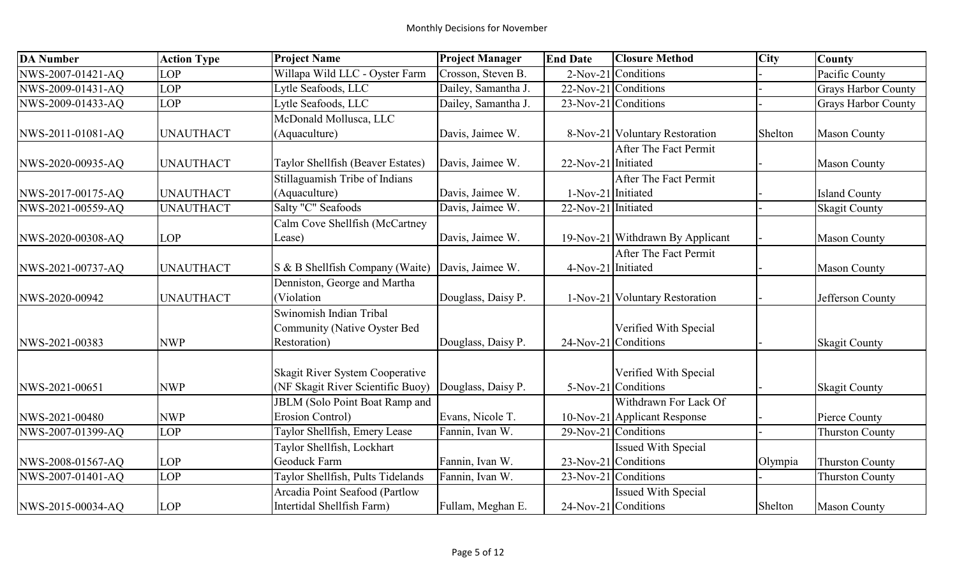| <b>DA Number</b>  | <b>Action Type</b> | <b>Project Name</b>                   | <b>Project Manager</b> | <b>End Date</b>     | <b>Closure Method</b>            | <b>City</b> | <b>County</b>              |
|-------------------|--------------------|---------------------------------------|------------------------|---------------------|----------------------------------|-------------|----------------------------|
| NWS-2007-01421-AQ | <b>LOP</b>         | Willapa Wild LLC - Oyster Farm        | Crosson, Steven B.     |                     | 2-Nov-21 Conditions              |             | Pacific County             |
| NWS-2009-01431-AQ | LOP                | Lytle Seafoods, LLC                   | Dailey, Samantha J.    |                     | 22-Nov-21 Conditions             |             | <b>Grays Harbor County</b> |
| NWS-2009-01433-AQ | <b>LOP</b>         | Lytle Seafoods, LLC                   | Dailey, Samantha J.    |                     | 23-Nov-21 Conditions             |             | <b>Grays Harbor County</b> |
|                   |                    | McDonald Mollusca, LLC                |                        |                     |                                  |             |                            |
| NWS-2011-01081-AQ | <b>UNAUTHACT</b>   | (Aquaculture)                         | Davis, Jaimee W.       |                     | 8-Nov-21 Voluntary Restoration   | Shelton     | <b>Mason County</b>        |
|                   |                    |                                       |                        |                     | After The Fact Permit            |             |                            |
| NWS-2020-00935-AQ | <b>UNAUTHACT</b>   | Taylor Shellfish (Beaver Estates)     | Davis, Jaimee W.       | 22-Nov-21 Initiated |                                  |             | <b>Mason County</b>        |
|                   |                    | Stillaguamish Tribe of Indians        |                        |                     | After The Fact Permit            |             |                            |
| NWS-2017-00175-AQ | <b>UNAUTHACT</b>   | (Aquaculture)                         | Davis, Jaimee W.       | 1-Nov-21 Initiated  |                                  |             | <b>Island County</b>       |
| NWS-2021-00559-AQ | <b>UNAUTHACT</b>   | Salty "C" Seafoods                    | Davis, Jaimee W.       | 22-Nov-21 Initiated |                                  |             | <b>Skagit County</b>       |
|                   |                    | Calm Cove Shellfish (McCartney        |                        |                     |                                  |             |                            |
| NWS-2020-00308-AQ | <b>LOP</b>         | Lease)                                | Davis, Jaimee W.       |                     | 19-Nov-21 Withdrawn By Applicant |             | <b>Mason County</b>        |
|                   |                    |                                       |                        |                     | After The Fact Permit            |             |                            |
| NWS-2021-00737-AQ | <b>UNAUTHACT</b>   | S & B Shellfish Company (Waite)       | Davis, Jaimee W.       | 4-Nov-21 Initiated  |                                  |             | <b>Mason County</b>        |
|                   |                    | Denniston, George and Martha          |                        |                     |                                  |             |                            |
| NWS-2020-00942    | <b>UNAUTHACT</b>   | (Violation                            | Douglass, Daisy P.     |                     | 1-Nov-21 Voluntary Restoration   |             | Jefferson County           |
|                   |                    | Swinomish Indian Tribal               |                        |                     |                                  |             |                            |
|                   |                    | Community (Native Oyster Bed          |                        |                     | Verified With Special            |             |                            |
| NWS-2021-00383    | <b>NWP</b>         | Restoration)                          | Douglass, Daisy P.     |                     | 24-Nov-21 Conditions             |             | <b>Skagit County</b>       |
|                   |                    |                                       |                        |                     |                                  |             |                            |
|                   |                    | Skagit River System Cooperative       |                        |                     | Verified With Special            |             |                            |
| NWS-2021-00651    | <b>NWP</b>         | (NF Skagit River Scientific Buoy)     | Douglass, Daisy P.     |                     | 5-Nov-21 Conditions              |             | <b>Skagit County</b>       |
|                   |                    | <b>JBLM</b> (Solo Point Boat Ramp and |                        |                     | Withdrawn For Lack Of            |             |                            |
| NWS-2021-00480    | <b>NWP</b>         | <b>Erosion Control)</b>               | Evans, Nicole T.       |                     | 10-Nov-21 Applicant Response     |             | Pierce County              |
| NWS-2007-01399-AQ | <b>LOP</b>         | Taylor Shellfish, Emery Lease         | Fannin, Ivan W.        |                     | 29-Nov-21 Conditions             |             | <b>Thurston County</b>     |
|                   |                    | Taylor Shellfish, Lockhart            |                        |                     | Issued With Special              |             |                            |
| NWS-2008-01567-AQ | <b>LOP</b>         | Geoduck Farm                          | Fannin, Ivan W.        |                     | 23-Nov-21 Conditions             | Olympia     | <b>Thurston County</b>     |
| NWS-2007-01401-AQ | <b>LOP</b>         | Taylor Shellfish, Pults Tidelands     | Fannin, Ivan W.        |                     | 23-Nov-21 Conditions             |             | <b>Thurston County</b>     |
|                   |                    | Arcadia Point Seafood (Partlow        |                        |                     | Issued With Special              |             |                            |
| NWS-2015-00034-AQ | <b>LOP</b>         | Intertidal Shellfish Farm)            | Fullam, Meghan E.      |                     | 24-Nov-21 Conditions             | Shelton     | <b>Mason County</b>        |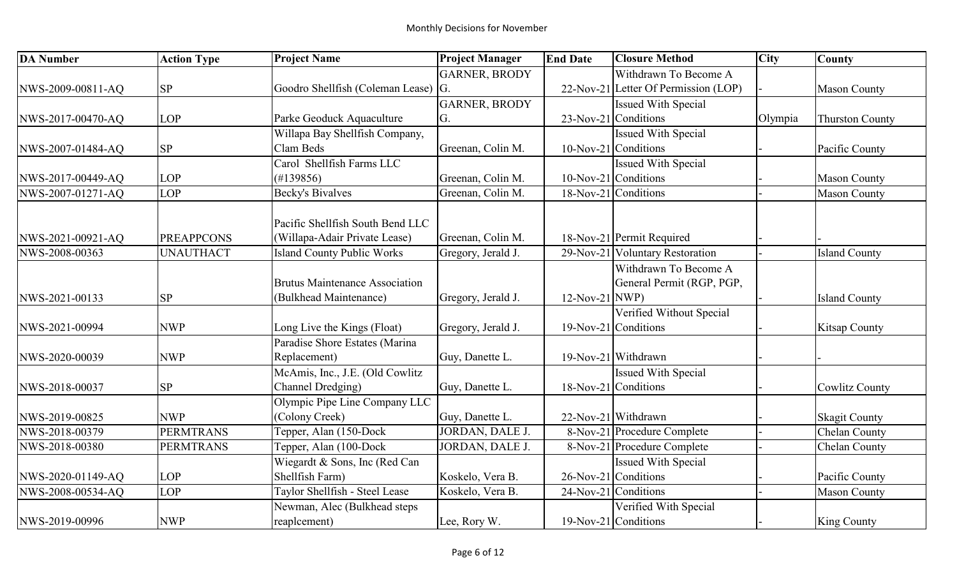| <b>DA Number</b>  | <b>Action Type</b> | <b>Project Name</b>                   | <b>Project Manager</b> | <b>End Date</b> | <b>Closure Method</b>                | <b>City</b> | <b>County</b>          |
|-------------------|--------------------|---------------------------------------|------------------------|-----------------|--------------------------------------|-------------|------------------------|
|                   |                    |                                       | <b>GARNER, BRODY</b>   |                 | Withdrawn To Become A                |             |                        |
| NWS-2009-00811-AQ | <b>SP</b>          | Goodro Shellfish (Coleman Lease) G.   |                        |                 | 22-Nov-21 Letter Of Permission (LOP) |             | <b>Mason County</b>    |
|                   |                    |                                       | <b>GARNER, BRODY</b>   |                 | <b>Issued With Special</b>           |             |                        |
| NWS-2017-00470-AQ | <b>LOP</b>         | Parke Geoduck Aquaculture             | G.                     |                 | 23-Nov-21 Conditions                 | Olympia     | <b>Thurston County</b> |
|                   |                    | Willapa Bay Shellfish Company,        |                        |                 | <b>Issued With Special</b>           |             |                        |
| NWS-2007-01484-AQ | <b>SP</b>          | Clam Beds                             | Greenan, Colin M.      |                 | 10-Nov-21 Conditions                 |             | Pacific County         |
|                   |                    | Carol Shellfish Farms LLC             |                        |                 | Issued With Special                  |             |                        |
| NWS-2017-00449-AQ | <b>LOP</b>         | (H139856)                             | Greenan, Colin M.      |                 | 10-Nov-21 Conditions                 |             | <b>Mason County</b>    |
| NWS-2007-01271-AQ | <b>LOP</b>         | <b>Becky's Bivalves</b>               | Greenan, Colin M.      |                 | 18-Nov-21 Conditions                 |             | <b>Mason County</b>    |
|                   |                    |                                       |                        |                 |                                      |             |                        |
|                   |                    | Pacific Shellfish South Bend LLC      |                        |                 |                                      |             |                        |
| NWS-2021-00921-AQ | <b>PREAPPCONS</b>  | (Willapa-Adair Private Lease)         | Greenan, Colin M.      |                 | 18-Nov-21 Permit Required            |             |                        |
| NWS-2008-00363    | <b>UNAUTHACT</b>   | <b>Island County Public Works</b>     | Gregory, Jerald J.     |                 | 29-Nov-21 Voluntary Restoration      |             | <b>Island County</b>   |
|                   |                    |                                       |                        |                 | Withdrawn To Become A                |             |                        |
|                   |                    | <b>Brutus Maintenance Association</b> |                        |                 | General Permit (RGP, PGP,            |             |                        |
| NWS-2021-00133    | SP                 | (Bulkhead Maintenance)                | Gregory, Jerald J.     | 12-Nov-21 NWP)  |                                      |             | <b>Island County</b>   |
|                   |                    |                                       |                        |                 | Verified Without Special             |             |                        |
| NWS-2021-00994    | <b>NWP</b>         | Long Live the Kings (Float)           | Gregory, Jerald J.     |                 | $19-Nov-21$ Conditions               |             | <b>Kitsap County</b>   |
|                   |                    | Paradise Shore Estates (Marina        |                        |                 |                                      |             |                        |
| NWS-2020-00039    | <b>NWP</b>         | Replacement)                          | Guy, Danette L.        |                 | 19-Nov-21 Withdrawn                  |             |                        |
|                   |                    | McAmis, Inc., J.E. (Old Cowlitz       |                        |                 | <b>Issued With Special</b>           |             |                        |
| NWS-2018-00037    | <b>SP</b>          | Channel Dredging)                     | Guy, Danette L.        |                 | 18-Nov-21 Conditions                 |             | <b>Cowlitz County</b>  |
|                   |                    | Olympic Pipe Line Company LLC         |                        |                 |                                      |             |                        |
| NWS-2019-00825    | <b>NWP</b>         | (Colony Creek)                        | Guy, Danette L.        |                 | 22-Nov-21 Withdrawn                  |             | <b>Skagit County</b>   |
| NWS-2018-00379    | <b>PERMTRANS</b>   | Tepper, Alan (150-Dock)               | JORDAN, DALE J.        |                 | 8-Nov-21 Procedure Complete          |             | <b>Chelan County</b>   |
| NWS-2018-00380    | <b>PERMTRANS</b>   | Tepper, Alan (100-Dock                | JORDAN, DALE J.        |                 | 8-Nov-21 Procedure Complete          |             | Chelan County          |
|                   |                    | Wiegardt & Sons, Inc (Red Can         |                        |                 | <b>Issued With Special</b>           |             |                        |
| NWS-2020-01149-AQ | <b>LOP</b>         | Shellfish Farm)                       | Koskelo, Vera B.       |                 | 26-Nov-21 Conditions                 |             | Pacific County         |
| NWS-2008-00534-AQ | <b>LOP</b>         | Taylor Shellfish - Steel Lease        | Koskelo, Vera B.       |                 | 24-Nov-21 Conditions                 |             | <b>Mason County</b>    |
|                   |                    | Newman, Alec (Bulkhead steps          |                        |                 | Verified With Special                |             |                        |
| NWS-2019-00996    | <b>NWP</b>         | reaplcement)                          | Lee, Rory W.           |                 | $19-Nov-21$ Conditions               |             | King County            |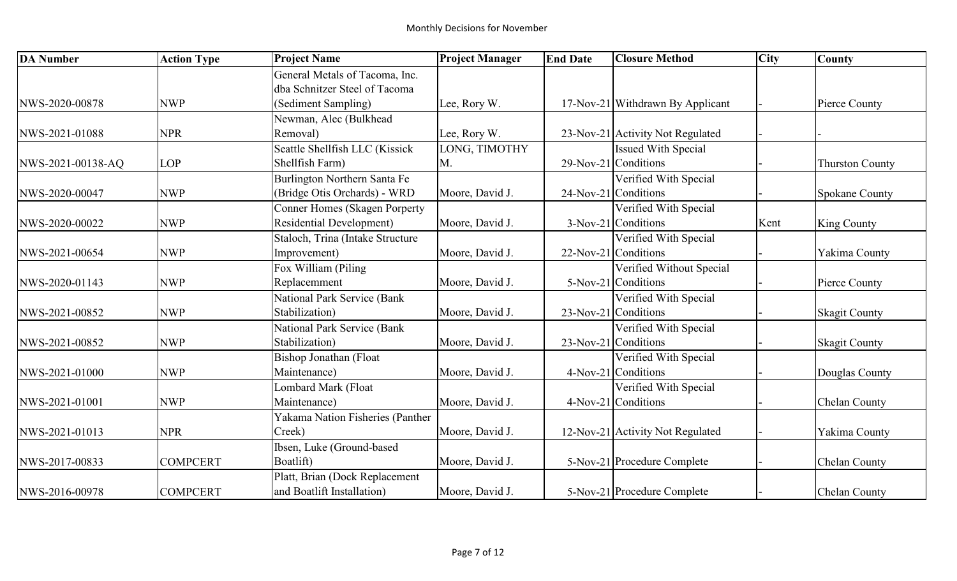| <b>DA</b> Number  | <b>Action Type</b> | <b>Project Name</b>                  | <b>Project Manager</b> | <b>End Date</b> | <b>Closure Method</b>            | <b>City</b> | <b>County</b>          |
|-------------------|--------------------|--------------------------------------|------------------------|-----------------|----------------------------------|-------------|------------------------|
|                   |                    | General Metals of Tacoma, Inc.       |                        |                 |                                  |             |                        |
|                   |                    | dba Schnitzer Steel of Tacoma        |                        |                 |                                  |             |                        |
| NWS-2020-00878    | <b>NWP</b>         | (Sediment Sampling)                  | Lee, Rory W.           |                 | 17-Nov-21 Withdrawn By Applicant |             | Pierce County          |
|                   |                    | Newman, Alec (Bulkhead               |                        |                 |                                  |             |                        |
| NWS-2021-01088    | <b>NPR</b>         | Removal)                             | Lee, Rory W.           |                 | 23-Nov-21 Activity Not Regulated |             |                        |
|                   |                    | Seattle Shellfish LLC (Kissick       | LONG, TIMOTHY          |                 | <b>Issued With Special</b>       |             |                        |
| NWS-2021-00138-AQ | <b>LOP</b>         | Shellfish Farm)                      | M.                     |                 | 29-Nov-21 Conditions             |             | <b>Thurston County</b> |
|                   |                    | Burlington Northern Santa Fe         |                        |                 | Verified With Special            |             |                        |
| NWS-2020-00047    | <b>NWP</b>         | (Bridge Otis Orchards) - WRD         | Moore, David J.        |                 | 24-Nov-21 Conditions             |             | <b>Spokane County</b>  |
|                   |                    | <b>Conner Homes (Skagen Porperty</b> |                        |                 | Verified With Special            |             |                        |
| NWS-2020-00022    | <b>NWP</b>         | <b>Residential Development)</b>      | Moore, David J.        |                 | 3-Nov-21 Conditions              | Kent        | <b>King County</b>     |
|                   |                    | Staloch, Trina (Intake Structure     |                        |                 | Verified With Special            |             |                        |
| NWS-2021-00654    | <b>NWP</b>         | Improvement)                         | Moore, David J.        |                 | 22-Nov-21 Conditions             |             | Yakima County          |
|                   |                    | Fox William (Piling                  |                        |                 | Verified Without Special         |             |                        |
| NWS-2020-01143    | <b>NWP</b>         | Replacemment                         | Moore, David J.        |                 | 5-Nov-21 Conditions              |             | Pierce County          |
|                   |                    | National Park Service (Bank          |                        |                 | Verified With Special            |             |                        |
| NWS-2021-00852    | <b>NWP</b>         | Stabilization)                       | Moore, David J.        |                 | 23-Nov-21 Conditions             |             | <b>Skagit County</b>   |
|                   |                    | National Park Service (Bank          |                        |                 | Verified With Special            |             |                        |
| NWS-2021-00852    | <b>NWP</b>         | Stabilization)                       | Moore, David J.        |                 | 23-Nov-21 Conditions             |             | <b>Skagit County</b>   |
|                   |                    | <b>Bishop Jonathan (Float</b>        |                        |                 | Verified With Special            |             |                        |
| NWS-2021-01000    | <b>NWP</b>         | Maintenance)                         | Moore, David J.        |                 | 4-Nov-21 Conditions              |             | Douglas County         |
|                   |                    | Lombard Mark (Float                  |                        |                 | Verified With Special            |             |                        |
| NWS-2021-01001    | <b>NWP</b>         | Maintenance)                         | Moore, David J.        |                 | 4-Nov-21 Conditions              |             | Chelan County          |
|                   |                    | Yakama Nation Fisheries (Panther     |                        |                 |                                  |             |                        |
| NWS-2021-01013    | <b>NPR</b>         | Creek)                               | Moore, David J.        |                 | 12-Nov-21 Activity Not Regulated |             | Yakima County          |
|                   |                    | Ibsen, Luke (Ground-based            |                        |                 |                                  |             |                        |
| NWS-2017-00833    | <b>COMPCERT</b>    | Boatlift)                            | Moore, David J.        |                 | 5-Nov-21 Procedure Complete      |             | Chelan County          |
|                   |                    | Platt, Brian (Dock Replacement       |                        |                 |                                  |             |                        |
| NWS-2016-00978    | <b>COMPCERT</b>    | and Boatlift Installation)           | Moore, David J.        |                 | 5-Nov-21 Procedure Complete      |             | Chelan County          |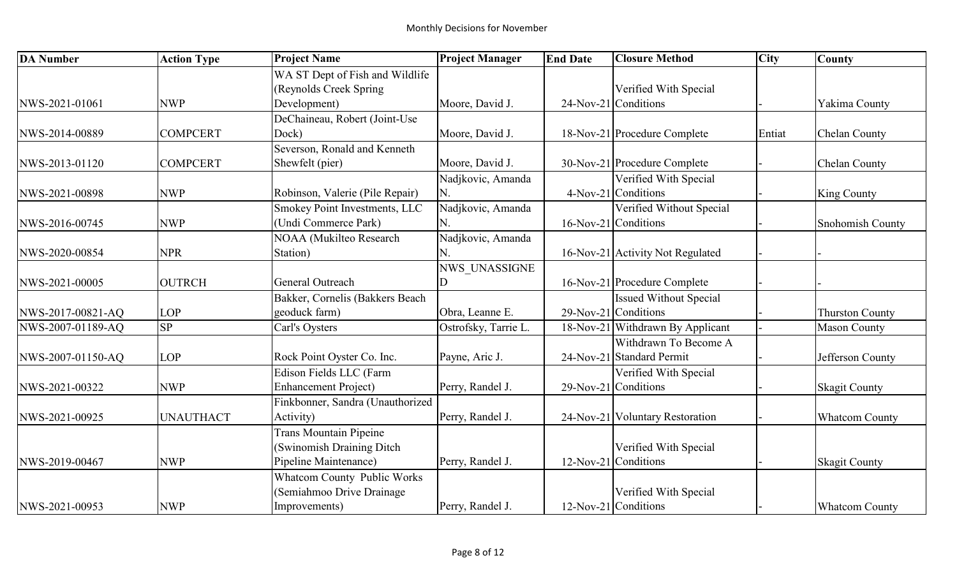| <b>DA Number</b>  | <b>Action Type</b> | <b>Project Name</b>              | <b>Project Manager</b> | <b>End Date</b> | <b>Closure Method</b>            | <b>City</b> | <b>County</b>          |
|-------------------|--------------------|----------------------------------|------------------------|-----------------|----------------------------------|-------------|------------------------|
|                   |                    | WA ST Dept of Fish and Wildlife  |                        |                 |                                  |             |                        |
|                   |                    | (Reynolds Creek Spring)          |                        |                 | Verified With Special            |             |                        |
| NWS-2021-01061    | <b>NWP</b>         | Development)                     | Moore, David J.        |                 | 24-Nov-21 Conditions             |             | Yakima County          |
|                   |                    | DeChaineau, Robert (Joint-Use    |                        |                 |                                  |             |                        |
| NWS-2014-00889    | <b>COMPCERT</b>    | Dock)                            | Moore, David J.        |                 | 18-Nov-21 Procedure Complete     | Entiat      | <b>Chelan County</b>   |
|                   |                    | Severson, Ronald and Kenneth     |                        |                 |                                  |             |                        |
| NWS-2013-01120    | <b>COMPCERT</b>    | Shewfelt (pier)                  | Moore, David J.        |                 | 30-Nov-21 Procedure Complete     |             | <b>Chelan County</b>   |
|                   |                    |                                  | Nadjkovic, Amanda      |                 | Verified With Special            |             |                        |
| NWS-2021-00898    | <b>NWP</b>         | Robinson, Valerie (Pile Repair)  | N.                     |                 | 4-Nov-21 Conditions              |             | <b>King County</b>     |
|                   |                    | Smokey Point Investments, LLC    | Nadjkovic, Amanda      |                 | Verified Without Special         |             |                        |
| NWS-2016-00745    | <b>NWP</b>         | (Undi Commerce Park)             | N.                     |                 | 16-Nov-21 Conditions             |             | Snohomish County       |
|                   |                    | NOAA (Mukilteo Research          | Nadjkovic, Amanda      |                 |                                  |             |                        |
| NWS-2020-00854    | <b>NPR</b>         | Station)                         | Ń.                     |                 | 16-Nov-21 Activity Not Regulated |             |                        |
|                   |                    |                                  | NWS UNASSIGNE          |                 |                                  |             |                        |
| NWS-2021-00005    | <b>OUTRCH</b>      | General Outreach                 |                        |                 | 16-Nov-21 Procedure Complete     |             |                        |
|                   |                    | Bakker, Cornelis (Bakkers Beach  |                        |                 | <b>Issued Without Special</b>    |             |                        |
| NWS-2017-00821-AQ | <b>LOP</b>         | geoduck farm)                    | Obra, Leanne E.        |                 | 29-Nov-21 Conditions             |             | <b>Thurston County</b> |
| NWS-2007-01189-AQ | SP                 | Carl's Oysters                   | Ostrofsky, Tarrie L.   |                 | 18-Nov-21 Withdrawn By Applicant |             | <b>Mason County</b>    |
|                   |                    |                                  |                        |                 | Withdrawn To Become A            |             |                        |
| NWS-2007-01150-AQ | <b>LOP</b>         | Rock Point Oyster Co. Inc.       | Payne, Aric J.         |                 | 24-Nov-21 Standard Permit        |             | Jefferson County       |
|                   |                    | Edison Fields LLC (Farm          |                        |                 | Verified With Special            |             |                        |
| NWS-2021-00322    | <b>NWP</b>         | Enhancement Project)             | Perry, Randel J.       |                 | $29$ -Nov-21 Conditions          |             | <b>Skagit County</b>   |
|                   |                    | Finkbonner, Sandra (Unauthorized |                        |                 |                                  |             |                        |
| NWS-2021-00925    | <b>UNAUTHACT</b>   | Activity)                        | Perry, Randel J.       |                 | 24-Nov-21 Voluntary Restoration  |             | <b>Whatcom County</b>  |
|                   |                    | <b>Trans Mountain Pipeine</b>    |                        |                 |                                  |             |                        |
|                   |                    | (Swinomish Draining Ditch        |                        |                 | Verified With Special            |             |                        |
| NWS-2019-00467    | <b>NWP</b>         | Pipeline Maintenance)            | Perry, Randel J.       |                 | $12$ -Nov-21 Conditions          |             | <b>Skagit County</b>   |
|                   |                    | Whatcom County Public Works      |                        |                 |                                  |             |                        |
|                   |                    | (Semiahmoo Drive Drainage        |                        |                 | Verified With Special            |             |                        |
| NWS-2021-00953    | <b>NWP</b>         | Improvements)                    | Perry, Randel J.       |                 | 12-Nov-21 Conditions             |             | <b>Whatcom County</b>  |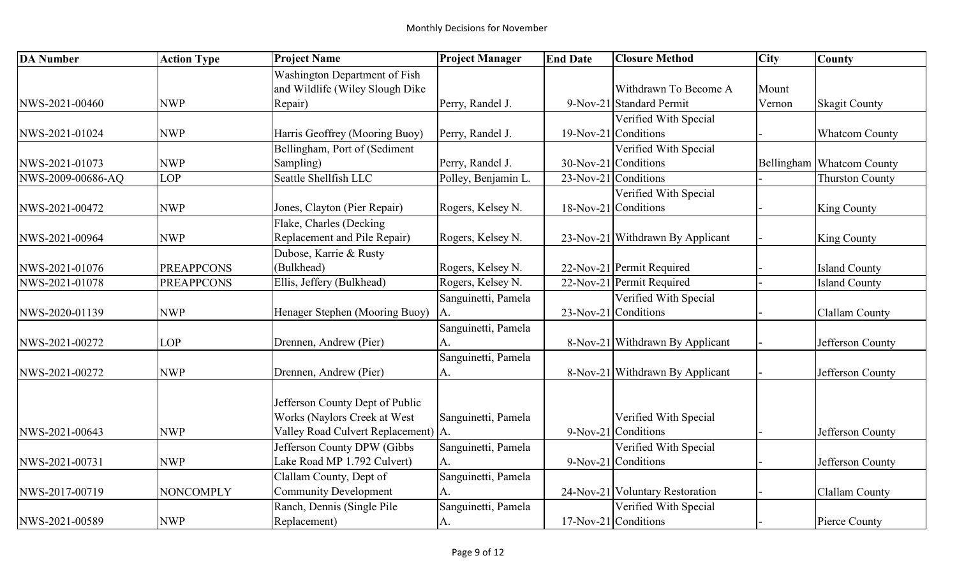| <b>DA Number</b>  | <b>Action Type</b> | <b>Project Name</b>                 | <b>Project Manager</b> | <b>End Date</b> | <b>Closure Method</b>            | <b>City</b> | <b>County</b>             |
|-------------------|--------------------|-------------------------------------|------------------------|-----------------|----------------------------------|-------------|---------------------------|
|                   |                    | Washington Department of Fish       |                        |                 |                                  |             |                           |
|                   |                    | and Wildlife (Wiley Slough Dike     |                        |                 | Withdrawn To Become A            | Mount       |                           |
| NWS-2021-00460    | <b>NWP</b>         | Repair)                             | Perry, Randel J.       |                 | 9-Nov-21 Standard Permit         | Vernon      | <b>Skagit County</b>      |
|                   |                    |                                     |                        |                 | Verified With Special            |             |                           |
| NWS-2021-01024    | <b>NWP</b>         | Harris Geoffrey (Mooring Buoy)      | Perry, Randel J.       |                 | 19-Nov-21 Conditions             |             | <b>Whatcom County</b>     |
|                   |                    | Bellingham, Port of (Sediment       |                        |                 | Verified With Special            |             |                           |
| NWS-2021-01073    | <b>NWP</b>         | Sampling)                           | Perry, Randel J.       |                 | 30-Nov-21 Conditions             |             | Bellingham Whatcom County |
| NWS-2009-00686-AQ | LOP                | Seattle Shellfish LLC               | Polley, Benjamin L.    |                 | $23$ -Nov-21 Conditions          |             | <b>Thurston County</b>    |
|                   |                    |                                     |                        |                 | Verified With Special            |             |                           |
| NWS-2021-00472    | <b>NWP</b>         | Jones, Clayton (Pier Repair)        | Rogers, Kelsey N.      |                 | 18-Nov-21 Conditions             |             | <b>King County</b>        |
|                   |                    | Flake, Charles (Decking             |                        |                 |                                  |             |                           |
| NWS-2021-00964    | <b>NWP</b>         | Replacement and Pile Repair)        | Rogers, Kelsey N.      |                 | 23-Nov-21 Withdrawn By Applicant |             | <b>King County</b>        |
|                   |                    | Dubose, Karrie & Rusty              |                        |                 |                                  |             |                           |
| NWS-2021-01076    | <b>PREAPPCONS</b>  | (Bulkhead)                          | Rogers, Kelsey N.      |                 | 22-Nov-21 Permit Required        |             | <b>Island County</b>      |
| NWS-2021-01078    | <b>PREAPPCONS</b>  | Ellis, Jeffery (Bulkhead)           | Rogers, Kelsey N.      |                 | 22-Nov-21 Permit Required        |             | <b>Island County</b>      |
|                   |                    |                                     | Sanguinetti, Pamela    |                 | Verified With Special            |             |                           |
| NWS-2020-01139    | <b>NWP</b>         | Henager Stephen (Mooring Buoy)      | A.                     |                 | 23-Nov-21 Conditions             |             | Clallam County            |
|                   |                    |                                     | Sanguinetti, Pamela    |                 |                                  |             |                           |
| NWS-2021-00272    | <b>LOP</b>         | Drennen, Andrew (Pier)              | A.                     |                 | 8-Nov-21 Withdrawn By Applicant  |             | Jefferson County          |
|                   |                    |                                     | Sanguinetti, Pamela    |                 |                                  |             |                           |
| NWS-2021-00272    | <b>NWP</b>         | Drennen, Andrew (Pier)              | A.                     |                 | 8-Nov-21 Withdrawn By Applicant  |             | Jefferson County          |
|                   |                    |                                     |                        |                 |                                  |             |                           |
|                   |                    | Jefferson County Dept of Public     |                        |                 |                                  |             |                           |
|                   |                    | Works (Naylors Creek at West        | Sanguinetti, Pamela    |                 | Verified With Special            |             |                           |
| NWS-2021-00643    | <b>NWP</b>         | Valley Road Culvert Replacement) A. |                        |                 | 9-Nov-21 Conditions              |             | Jefferson County          |
|                   |                    | Jefferson County DPW (Gibbs         | Sanguinetti, Pamela    |                 | Verified With Special            |             |                           |
| NWS-2021-00731    | <b>NWP</b>         | Lake Road MP 1.792 Culvert)         | A.                     |                 | 9-Nov-21 Conditions              |             | Jefferson County          |
|                   |                    | Clallam County, Dept of             | Sanguinetti, Pamela    |                 |                                  |             |                           |
| NWS-2017-00719    | <b>NONCOMPLY</b>   | <b>Community Development</b>        | A.                     |                 | 24-Nov-21 Voluntary Restoration  |             | Clallam County            |
|                   |                    | Ranch, Dennis (Single Pile          | Sanguinetti, Pamela    |                 | Verified With Special            |             |                           |
| NWS-2021-00589    | <b>NWP</b>         | Replacement)                        | A.                     |                 | $17$ -Nov-21 Conditions          |             | Pierce County             |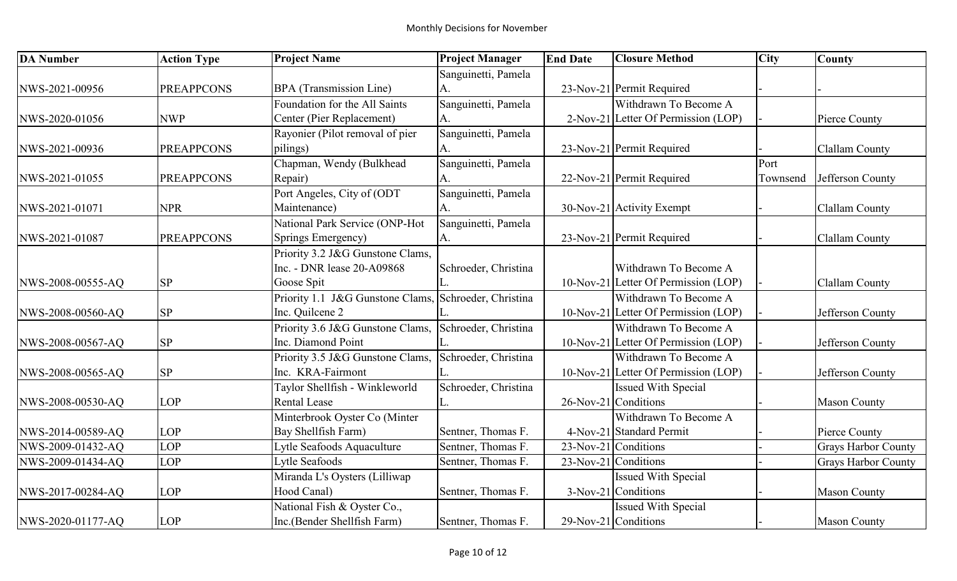| <b>DA Number</b>  | <b>Action Type</b> | <b>Project Name</b>              | <b>Project Manager</b> | <b>End Date</b> | <b>Closure Method</b>                | <b>City</b> | <b>County</b>              |
|-------------------|--------------------|----------------------------------|------------------------|-----------------|--------------------------------------|-------------|----------------------------|
|                   |                    |                                  | Sanguinetti, Pamela    |                 |                                      |             |                            |
| NWS-2021-00956    | <b>PREAPPCONS</b>  | BPA (Transmission Line)          | A.                     |                 | 23-Nov-21 Permit Required            |             |                            |
|                   |                    | Foundation for the All Saints    | Sanguinetti, Pamela    |                 | Withdrawn To Become A                |             |                            |
| NWS-2020-01056    | <b>NWP</b>         | Center (Pier Replacement)        | A.                     |                 | 2-Nov-21 Letter Of Permission (LOP)  |             | Pierce County              |
|                   |                    | Rayonier (Pilot removal of pier  | Sanguinetti, Pamela    |                 |                                      |             |                            |
| NWS-2021-00936    | <b>PREAPPCONS</b>  | pilings)                         |                        |                 | 23-Nov-21 Permit Required            |             | Clallam County             |
|                   |                    | Chapman, Wendy (Bulkhead         | Sanguinetti, Pamela    |                 |                                      | Port        |                            |
| NWS-2021-01055    | <b>PREAPPCONS</b>  | Repair)                          | A.                     |                 | 22-Nov-21 Permit Required            | Townsend    | Jefferson County           |
|                   |                    | Port Angeles, City of (ODT       | Sanguinetti, Pamela    |                 |                                      |             |                            |
| NWS-2021-01071    | <b>NPR</b>         | Maintenance)                     | A.                     |                 | 30-Nov-21 Activity Exempt            |             | <b>Clallam County</b>      |
|                   |                    | National Park Service (ONP-Hot   | Sanguinetti, Pamela    |                 |                                      |             |                            |
| NWS-2021-01087    | <b>PREAPPCONS</b>  | Springs Emergency)               | А.                     |                 | 23-Nov-21 Permit Required            |             | <b>Clallam County</b>      |
|                   |                    | Priority 3.2 J&G Gunstone Clams, |                        |                 |                                      |             |                            |
|                   |                    | Inc. - DNR lease 20-A09868       | Schroeder, Christina   |                 | Withdrawn To Become A                |             |                            |
| NWS-2008-00555-AQ | <b>SP</b>          | Goose Spit                       |                        |                 | 10-Nov-21 Letter Of Permission (LOP) |             | Clallam County             |
|                   |                    | Priority 1.1 J&G Gunstone Clams, | Schroeder, Christina   |                 | Withdrawn To Become A                |             |                            |
| NWS-2008-00560-AQ | <b>SP</b>          | Inc. Quilcene 2                  |                        |                 | 10-Nov-21 Letter Of Permission (LOP) |             | Jefferson County           |
|                   |                    | Priority 3.6 J&G Gunstone Clams, | Schroeder, Christina   |                 | Withdrawn To Become A                |             |                            |
| NWS-2008-00567-AQ | <b>SP</b>          | Inc. Diamond Point               |                        |                 | 10-Nov-21 Letter Of Permission (LOP) |             | Jefferson County           |
|                   |                    | Priority 3.5 J&G Gunstone Clams, | Schroeder, Christina   |                 | Withdrawn To Become A                |             |                            |
| NWS-2008-00565-AQ | SP                 | Inc. KRA-Fairmont                |                        |                 | 10-Nov-21 Letter Of Permission (LOP) |             | Jefferson County           |
|                   |                    | Taylor Shellfish - Winkleworld   | Schroeder, Christina   |                 | <b>Issued With Special</b>           |             |                            |
| NWS-2008-00530-AQ | <b>LOP</b>         | <b>Rental Lease</b>              |                        |                 | 26-Nov-21 Conditions                 |             | <b>Mason County</b>        |
|                   |                    | Minterbrook Oyster Co (Minter    |                        |                 | Withdrawn To Become A                |             |                            |
| NWS-2014-00589-AQ | <b>LOP</b>         | Bay Shellfish Farm)              | Sentner, Thomas F.     |                 | 4-Nov-21 Standard Permit             |             | Pierce County              |
| NWS-2009-01432-AQ | <b>LOP</b>         | Lytle Seafoods Aquaculture       | Sentner, Thomas F.     |                 | $23-Nov-21$ Conditions               |             | <b>Grays Harbor County</b> |
| NWS-2009-01434-AQ | <b>LOP</b>         | Lytle Seafoods                   | Sentner, Thomas F.     |                 | 23-Nov-21 Conditions                 |             | <b>Grays Harbor County</b> |
|                   |                    | Miranda L's Oysters (Lilliwap    |                        |                 | <b>Issued With Special</b>           |             |                            |
| NWS-2017-00284-AQ | LOP                | Hood Canal)                      | Sentner, Thomas F.     |                 | 3-Nov-21 Conditions                  |             | <b>Mason County</b>        |
|                   |                    | National Fish & Oyster Co.,      |                        |                 | <b>Issued With Special</b>           |             |                            |
| NWS-2020-01177-AQ | <b>LOP</b>         | Inc.(Bender Shellfish Farm)      | Sentner, Thomas F.     |                 | $29$ -Nov-21 Conditions              |             | <b>Mason County</b>        |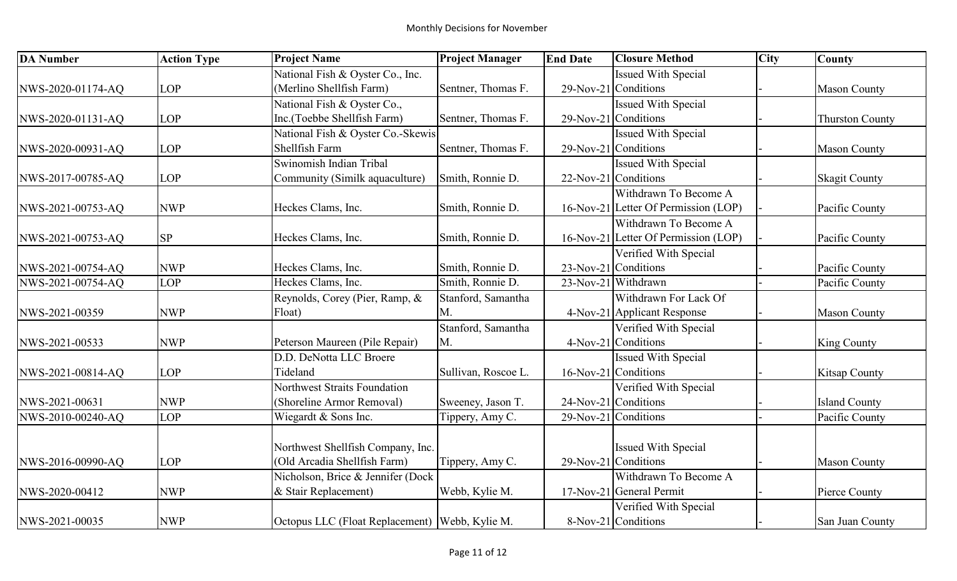| <b>DA</b> Number  | <b>Action Type</b> | <b>Project Name</b>                              | <b>Project Manager</b> | <b>End Date</b> | <b>Closure Method</b>                | <b>City</b> | <b>County</b>          |
|-------------------|--------------------|--------------------------------------------------|------------------------|-----------------|--------------------------------------|-------------|------------------------|
|                   |                    | National Fish & Oyster Co., Inc.                 |                        |                 | <b>Issued With Special</b>           |             |                        |
| NWS-2020-01174-AQ | <b>LOP</b>         | (Merlino Shellfish Farm)                         | Sentner, Thomas F.     |                 | $29$ -Nov-21 Conditions              |             | <b>Mason County</b>    |
|                   |                    | National Fish & Oyster Co.,                      |                        |                 | <b>Issued With Special</b>           |             |                        |
| NWS-2020-01131-AQ | <b>LOP</b>         | Inc.(Toebbe Shellfish Farm)                      | Sentner, Thomas F.     |                 | 29-Nov-21 Conditions                 |             | <b>Thurston County</b> |
|                   |                    | National Fish & Oyster Co.-Skewis                |                        |                 | <b>Issued With Special</b>           |             |                        |
| NWS-2020-00931-AQ | <b>LOP</b>         | Shellfish Farm                                   | Sentner, Thomas F.     |                 | $29$ -Nov-21 Conditions              |             | <b>Mason County</b>    |
|                   |                    | Swinomish Indian Tribal                          |                        |                 | <b>Issued With Special</b>           |             |                        |
| NWS-2017-00785-AQ | <b>LOP</b>         | Community (Similk aquaculture)                   | Smith, Ronnie D.       |                 | $22$ -Nov-21 Conditions              |             | <b>Skagit County</b>   |
|                   |                    |                                                  |                        |                 | Withdrawn To Become A                |             |                        |
| NWS-2021-00753-AQ | <b>NWP</b>         | Heckes Clams, Inc.                               | Smith, Ronnie D.       |                 | 16-Nov-21 Letter Of Permission (LOP) |             | Pacific County         |
|                   |                    |                                                  |                        |                 | Withdrawn To Become A                |             |                        |
| NWS-2021-00753-AQ | <b>SP</b>          | Heckes Clams, Inc.                               | Smith, Ronnie D.       |                 | 16-Nov-21 Letter Of Permission (LOP) |             | Pacific County         |
|                   |                    |                                                  |                        |                 | Verified With Special                |             |                        |
| NWS-2021-00754-AQ | <b>NWP</b>         | Heckes Clams, Inc.                               | Smith, Ronnie D.       |                 | $23$ -Nov-21 Conditions              |             | Pacific County         |
| NWS-2021-00754-AQ | <b>LOP</b>         | Heckes Clams, Inc.                               | Smith, Ronnie D.       |                 | 23-Nov-21 Withdrawn                  |             | Pacific County         |
|                   |                    | Reynolds, Corey (Pier, Ramp, &                   | Stanford, Samantha     |                 | Withdrawn For Lack Of                |             |                        |
| NWS-2021-00359    | <b>NWP</b>         | Float)                                           | M.                     |                 | 4-Nov-21 Applicant Response          |             | <b>Mason County</b>    |
|                   |                    |                                                  | Stanford, Samantha     |                 | Verified With Special                |             |                        |
| NWS-2021-00533    | <b>NWP</b>         | Peterson Maureen (Pile Repair)                   | M.                     |                 | 4-Nov-21 Conditions                  |             | <b>King County</b>     |
|                   |                    | D.D. DeNotta LLC Broere                          |                        |                 | <b>Issued With Special</b>           |             |                        |
| NWS-2021-00814-AQ | <b>LOP</b>         | Tideland                                         | Sullivan, Roscoe L.    |                 | $16$ -Nov-21 Conditions              |             | <b>Kitsap County</b>   |
|                   |                    | Northwest Straits Foundation                     |                        |                 | Verified With Special                |             |                        |
| NWS-2021-00631    | <b>NWP</b>         | (Shoreline Armor Removal)                        | Sweeney, Jason T.      |                 | 24-Nov-21 Conditions                 |             | <b>Island County</b>   |
| NWS-2010-00240-AQ | <b>LOP</b>         | Wiegardt & Sons Inc.                             | Tippery, Amy C.        |                 | 29-Nov-21 Conditions                 |             | Pacific County         |
|                   |                    |                                                  |                        |                 |                                      |             |                        |
|                   |                    | Northwest Shellfish Company, Inc.                |                        |                 | <b>Issued With Special</b>           |             |                        |
| NWS-2016-00990-AQ | <b>LOP</b>         | (Old Arcadia Shellfish Farm)                     | Tippery, Amy C.        |                 | 29-Nov-21 Conditions                 |             | <b>Mason County</b>    |
|                   |                    | Nicholson, Brice & Jennifer (Dock                |                        |                 | Withdrawn To Become A                |             |                        |
| NWS-2020-00412    | <b>NWP</b>         | & Stair Replacement)                             | Webb, Kylie M.         |                 | 17-Nov-21 General Permit             |             | Pierce County          |
|                   |                    |                                                  |                        |                 | Verified With Special                |             |                        |
| NWS-2021-00035    | <b>NWP</b>         | Octopus LLC (Float Replacement)   Webb, Kylie M. |                        |                 | 8-Nov-21 Conditions                  |             | San Juan County        |